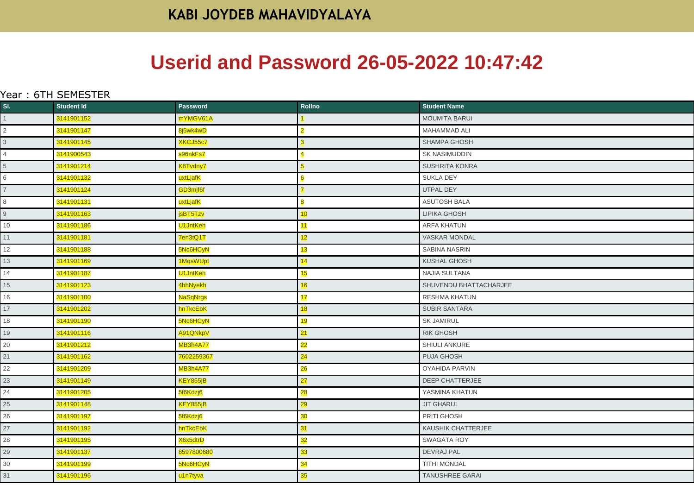## **Userid and Password 26-05-2022 10:47:42**

## Year : 6TH SEMESTER

| SI.             | <b>Student Id</b> | Password        | <b>Rollno</b>   | <b>Student Name</b>    |
|-----------------|-------------------|-----------------|-----------------|------------------------|
| 1               | 3141901152        | mYMGV61A        |                 | <b>MOUMITA BARUI</b>   |
| $\overline{2}$  | 3141901147        | 8j5wk4wD        | $\overline{2}$  | <b>MAHAMMAD ALI</b>    |
| $\mathbf{3}$    | 3141901145        | XKCJ55c7        | 3               | <b>SHAMPA GHOSH</b>    |
| $\overline{4}$  | 3141900543        | s96nkFs7        | 4               | SK NASIMUDDIN          |
| $\overline{5}$  | 3141901214        | K8Tvdny7        | $\overline{5}$  | <b>SUSHRITA KONRA</b>  |
| $6\phantom{.}6$ | 3141901132        | uxtLjafK        | 6               | <b>SUKLA DEY</b>       |
| $\overline{7}$  | 3141901124        | GD3mjf6f        |                 | UTPAL DEY              |
| 8               | 3141901131        | uxtLjafK        | 8               | <b>ASUTOSH BALA</b>    |
| 9               | 3141901163        | jsBT5Tzv        | 10 <sub>1</sub> | LIPIKA GHOSH           |
| 10              | 3141901186        | U1JntKeh        | 11              | <b>ARFA KHATUN</b>     |
| 11              | 3141901181        | 7en3tQ1T        | 12              | <b>VASKAR MONDAL</b>   |
| 12              | 3141901188        | 5Nc6HCyN        | <u> 13</u>      | SABINA NASRIN          |
| 13              | 3141901169        | 1MqsWUpt        | 14              | <b>KUSHAL GHOSH</b>    |
| 14              | 3141901187        | U1JntKeh        | <b>15</b>       | NAJIA SULTANA          |
| 15              | 3141901123        | 4hhNyekh        | 16              | SHUVENDU BHATTACHARJEE |
| 16              | 3141901100        | <b>NaSqNrgs</b> | 17              | <b>RESHMA KHATUN</b>   |
| 17              | 3141901202        | hnTkcEbK        | 18              | <b>SUBIR SANTARA</b>   |
| 18              | 3141901190        | 5Nc6HCyN        | <mark>19</mark> | <b>SK JAMIRUL</b>      |
| 19              | 3141901116        | A91QNkpV        | 21              | <b>RIK GHOSH</b>       |
| 20              | 3141901212        | <b>MB3h4A77</b> | 22              | SHIULI ANKURE          |
| 21              | 3141901162        | 7602259367      | 24              | <b>PUJA GHOSH</b>      |
| 22              | 3141901209        | <b>MB3h4A77</b> | <b>26</b>       | <b>OYAHIDA PARVIN</b>  |
| 23              | 3141901149        | KEY855jB        | 27              | DEEP CHATTERJEE        |
| 24              | 3141901205        | 5f6Kdzj6        | <b>28</b>       | YASMINA KHATUN         |
| 25              | 3141901148        | <b>KEY855jB</b> | 29              | <b>JIT GHARUI</b>      |
| 26              | 3141901197        | 5f6Kdzj6        | 30              | PRITI GHOSH            |
| $27\,$          | 3141901192        | hnTkcEbK        | 31              | KAUSHIK CHATTERJEE     |
| 28              | 3141901195        | X6x5dtrD        | 32              | <b>SWAGATA ROY</b>     |
| 29              | 3141901137        | 8597800680      | 33              | <b>DEVRAJ PAL</b>      |
| $30\,$          | 3141901199        | 5Nc6HCyN        | 34              | <b>TITHI MONDAL</b>    |
| 31              | 3141901196        | u1n7tyva        | 35              | <b>TANUSHREE GARAI</b> |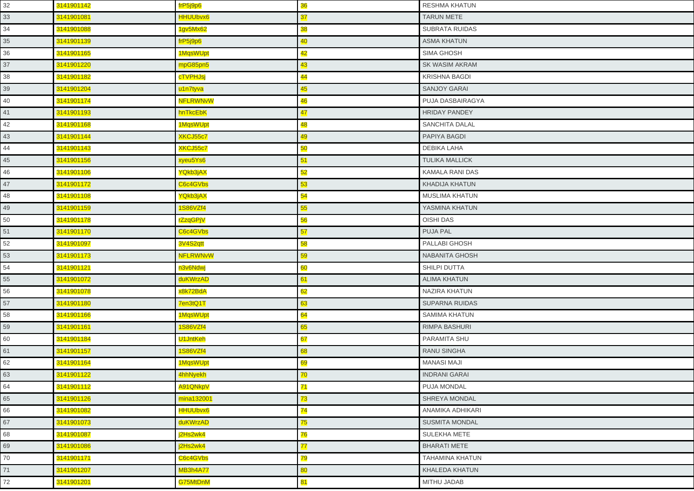| 32 | 3141901142        | frP5j9p6              | 36              | RESHMA KHATUN         |
|----|-------------------|-----------------------|-----------------|-----------------------|
| 33 | 3141901081        | <b>HHUUbvx6</b>       | 37              | <b>TARUN METE</b>     |
| 34 | 3141901088        | 1gv5Mx62              | 38              | SUBRATA RUIDAS        |
| 35 | 3141901139        | frP5j9p6              | 40              | <b>ASMA KHATUN</b>    |
| 36 | 3141901165        | 1MqsWUpt              | 42              | <b>SIMA GHOSH</b>     |
| 37 | 3141901220        | mpG85pn5              | 43              | <b>SK WASIM AKRAM</b> |
| 38 | 3141901182        | <b>cTVPHJsj</b>       | <u>44</u>       | <b>KRISHNA BAGDI</b>  |
| 39 | 3141901204        | u1n7tyva              | 45              | <b>SANJOY GARAI</b>   |
| 40 | 3141901174        | <b>NFLRWNvW</b>       | 46              | PUJA DASBAIRAGYA      |
| 41 | 3141901193        | hnTkcEbK              | 47              | <b>HRIDAY PANDEY</b>  |
| 42 | 3141901168        | 1MqsWUpt              | 48              | <b>SANCHITA DALAL</b> |
| 43 | 3141901144        | XKCJ55c7              | 49              | PAPIYA BAGDI          |
| 44 | 3141901143        | XKCJ55c7              | 50              | DEBIKA LAHA           |
| 45 | 3141901156        | xyeu5Ys6              | 51              | <b>TULIKA MALLICK</b> |
| 46 | 3141901106        | YQkb3jAX              | <mark>52</mark> | KAMALA RANI DAS       |
| 47 | 3141901172        | C6c4GVbs              | 53              | KHADIJA KHATUN        |
| 48 | 3141901108        | YQkb3jAX              | 54              | <b>MUSLIMA KHATUN</b> |
| 49 | 3141901159        | 1S86VZf4              | 55              | YASMINA KHATUN        |
| 50 | 3141901178        | <mark>rZzqGPjV</mark> | 56              | OISHI DAS             |
| 51 | 3141901170        | C6c4GVbs              | 57              | PUJA PAL              |
| 52 | 3141901097        | 3V4S2qtt              | 58              | PALLABI GHOSH         |
| 53 | 3141901173        | <b>NFLRWNvW</b>       | 59              | NABANITA GHOSH        |
| 54 | 3141901121        | n3v6Ndwj              | 60              | SHILPI DUTTA          |
| 55 | 3141901072        | duKWrzAD              | 61              | <b>ALIMA KHATUN</b>   |
| 56 | 3141901078        | x8k72BdA              | 62              | NAZIRA KHATUN         |
| 57 | 3141901180        | 7en3tQ1T              | 63              | SUPARNA RUIDAS        |
| 58 | 3141901166        | 1MqsWUpt              | 64              | <b>SAMIMA KHATUN</b>  |
| 59 | 3141901161        | 1S86VZf4              | 65              | RIMPA BASHURI         |
| 60 | 3141901184        | U1JntKeh              | 67              | PARAMITA SHU          |
| 61 | 3141901157        | 1S86VZf4              | 68              | <b>RANU SINGHA</b>    |
| 62 | 3141901164        | 1MqsWUpt              | 69              | <b>MANASI MAJI</b>    |
| 63 | <u>3141901122</u> | 4hhNyekh              | <u>70</u>       | <b>INDRANI GARAI</b>  |
| 64 | 3141901112        | A91QNkpV              | 71              | PUJA MONDAL           |
| 65 | 3141901126        | mina132001            | 73              | SHREYA MONDAL         |
| 66 | 3141901082        | <b>HHUUbvx6</b>       | 74              | ANAMIKA ADHIKARI      |
| 67 | 3141901073        | duKWrzAD              | 75              | <b>SUSMITA MONDAL</b> |
| 68 | 3141901087        | j2Hs2wk4              | 76              | SULEKHA METE          |
| 69 | 3141901086        | j2Hs2wk4              | 77              | <b>BHARATI METE</b>   |
| 70 | 3141901171        | C6c4GVbs              | 79              | TAHAMINA KHATUN       |
| 71 | 3141901207        | <b>MB3h4A77</b>       | 80              | KHALEDA KHATUN        |
| 72 | 3141901201        | G75MtDnM              | 81              | MITHU JADAB           |
|    |                   |                       |                 |                       |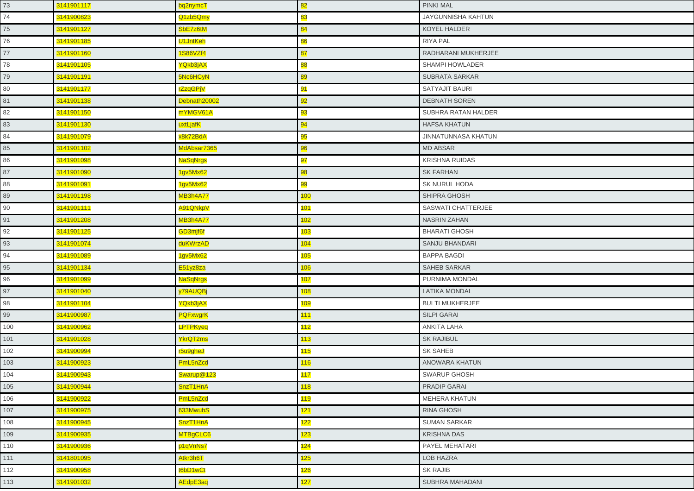| 73  | 3141901117 | bq2nymcT        | 82          | <b>PINKI MAL</b>       |
|-----|------------|-----------------|-------------|------------------------|
| 74  | 3141900823 | Q1zb5Qmy        | 83          | JAYGUNNISHA KAHTUN     |
| 75  | 3141901127 | SbE7z6tM        | 84          | KOYEL HALDER           |
| 76  | 3141901185 | U1JntKeh        | 86          | <b>RIYA PAL</b>        |
| 77  | 3141901160 | 1S86VZf4        | 87          | RADHARANI MUKHERJEE    |
| 78  | 3141901105 | YQkb3jAX        | 88          | SHAMPI HOWLADER        |
| 79  | 3141901191 | 5Nc6HCyN        | 89          | <b>SUBRATA SARKAR</b>  |
| 80  | 3141901177 | rZzqGPjV        | 91          | SATYAJIT BAURI         |
| 81  | 3141901138 | Debnath20002    | 92          | <b>DEBNATH SOREN</b>   |
| 82  | 3141901150 | mYMGV61A        | 93          | SUBHRA RATAN HALDER    |
| 83  | 3141901130 | uxtLjafK        | 94          | <b>HAFSA KHATUN</b>    |
| 84  | 3141901079 | x8k72BdA        | 95          | JINNATUNNASA KHATUN    |
| 85  | 3141901102 | MdAbsar7365     | 96          | <b>MD ABSAR</b>        |
| 86  | 3141901098 | <b>NaSqNrgs</b> | 97          | <b>KRISHNA RUIDAS</b>  |
| 87  | 3141901090 | 1gv5Mx62        | 98          | <b>SK FARHAN</b>       |
| 88  | 3141901091 | 1gv5Mx62        | 99          | <b>SK NURUL HODA</b>   |
| 89  | 3141901198 | <b>MB3h4A77</b> | 100         | SHIPRA GHOSH           |
| 90  | 3141901111 | A91QNkpV        | 101         | SASWATI CHATTERJEE     |
| 91  | 3141901208 | <b>MB3h4A77</b> | 102         | <b>NASRIN ZAHAN</b>    |
| 92  | 3141901125 | GD3mjf6f        | 103         | <b>BHARATI GHOSH</b>   |
| 93  | 3141901074 | duKWrzAD        | 104         | SANJU BHANDARI         |
| 94  | 3141901089 | 1gv5Mx62        | 105         | <b>BAPPA BAGDI</b>     |
| 95  | 3141901134 | E51yz8za        | 106         | <b>SAHEB SARKAR</b>    |
| 96  | 3141901099 | <b>NaSqNrgs</b> | 107         | PURNIMA MONDAL         |
| 97  | 3141901040 | y79AUQBj        | <b>108</b>  | <b>LATIKA MONDAL</b>   |
| 98  | 3141901104 | YQkb3jAX        | 109         | <b>BULTI MUKHERJEE</b> |
| 99  | 3141900987 | PQFxwgrK        | 111         | <b>SILPI GARAI</b>     |
| 100 | 3141900962 | LPTPKyeq        | 112         | ANKITA LAHA            |
| 101 | 3141901028 | <b>YkrQT2ms</b> | 113         | <b>SK RAJIBUL</b>      |
| 102 | 3141900994 | r5u9gheJ        | 115         | <b>SK SAHEB</b>        |
| 103 | 3141900923 | PmL5nZcd        | 116         | ANOWARA KHATUN         |
| 104 | 3141900943 | Swarup@123      | <u> 117</u> | SWARUP GHOSH           |
| 105 | 3141900944 | SnzT1HnA        | 118         | <b>PRADIP GARAI</b>    |
| 106 | 3141900922 | PmL5nZcd        | <u> 119</u> | MEHERA KHATUN          |
| 107 | 3141900975 | 633MwubS        | 121         | RINA GHOSH             |
| 108 | 3141900945 | SnzT1HnA        | 122         | <b>SUMAN SARKAR</b>    |
| 109 | 3141900935 | MTBgCLC6        | 123         | <b>KRISHNA DAS</b>     |
| 110 | 3141900936 | p1qVnNs7        | <u> 124</u> | PAYEL MEHATARI         |
| 111 | 3141801095 | Atkr3h6T        | 125         | LOB HAZRA              |
| 112 | 3141900958 | t6bD1wCt        | <b>126</b>  | <b>SK RAJIB</b>        |
| 113 | 3141901032 | AEdpE3aq        | 127         | SUBHRA MAHADANI        |
|     |            |                 |             |                        |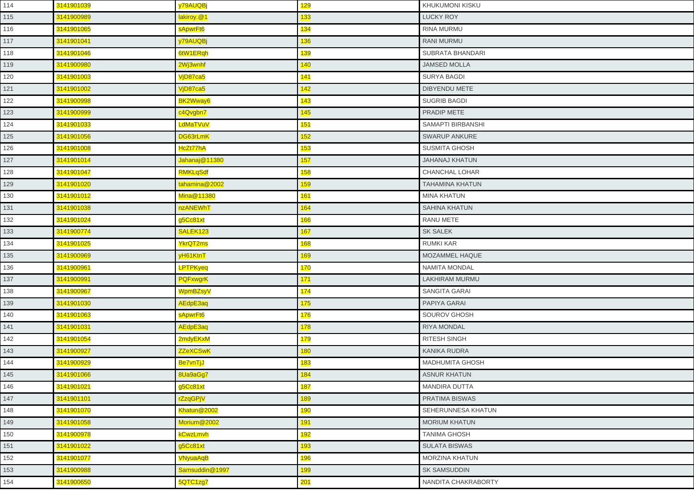| 114 | 3141901039 | y79AUQBj             | <u> 129</u>      | KHUKUMONI KISKU        |
|-----|------------|----------------------|------------------|------------------------|
| 115 | 3141900989 | lakiroy.@1           | 133              | <b>LUCKY ROY</b>       |
| 116 | 3141901065 | sApwrFt6             | <u> 134</u>      | <b>RINA MURMU</b>      |
| 117 | 3141901041 | y79AUQBj             | 136              | <b>RANI MURMU</b>      |
| 118 | 3141901046 | 6tW1ERqh             | <u> 139</u>      | SUBRATA BHANDARI       |
| 119 | 3141900980 | 2Wj3wnhf             | 140              | <b>JAMSED MOLLA</b>    |
| 120 | 3141901003 | VjD87ca5             | <u> 141</u>      | <b>SURYA BAGDI</b>     |
| 121 | 3141901002 | VjD87ca5             | 142              | DIBYENDU METE          |
| 122 | 3141900998 | BK2Wway6             | 143              | <b>SUGRIB BAGDI</b>    |
| 123 | 3141900999 | c4Qvgbn7             | 145              | PRADIP METE            |
| 124 | 3141901033 | LdMaTVuV             | <u> 151</u>      | SAMAPTI BIRBANSHI      |
| 125 | 3141901056 | DG63rLmK             | 152              | <b>SWARUP ANKURE</b>   |
| 126 | 3141901008 | HcZt77hA             | <b>153</b>       | SUSMITA GHOSH          |
| 127 | 3141901014 | Jahanaj@11380        | 157              | <b>JAHANAJ KHATUN</b>  |
| 128 | 3141901047 | <b>RMKLqSdf</b>      | <mark>158</mark> | CHANCHAL LOHAR         |
| 129 | 3141901020 | tahamina@2002        | 159              | <b>TAHAMINA KHATUN</b> |
| 130 | 3141901012 | Mina@11380           | <b>161</b>       | <b>MINA KHATUN</b>     |
| 131 | 3141901038 | <b>nzANEWhT</b>      | 164              | SAHINA KHATUN          |
| 132 | 3141901024 | g5Cc81xt             | <b>166</b>       | RANU METE              |
| 133 | 3141900774 | SALEK <sub>123</sub> | <b>167</b>       | <b>SK SALEK</b>        |
| 134 | 3141901025 | <b>YkrQT2ms</b>      | 168              | <b>RUMKI KAR</b>       |
| 135 | 3141900969 | yH61KtnT             | <b>169</b>       | MOZAMMEL HAQUE         |
| 136 | 3141900961 | LPTPKyeq             | <b>170</b>       | <b>NAMITA MONDAL</b>   |
| 137 | 3141900991 | <b>PQFxwgrK</b>      | 171              | LAKHIRAM MURMU         |
| 138 | 3141900967 | WpmBZsyV             | 174              | SANGITA GARAI          |
| 139 | 3141901030 | AEdpE3aq             | 175              | PAPIYA GARAI           |
| 140 | 3141901063 | sApwrFt6             | <b>176</b>       | <b>SOUROV GHOSH</b>    |
| 141 | 3141901031 | AEdpE3aq             | <b>178</b>       | <b>RIYA MONDAL</b>     |
| 142 | 3141901054 | 2mdyEKxM             | <b>179</b>       | RITESH SINGH           |
| 143 | 3141900927 | <b>ZZeXCSwK</b>      | 180              | KANIKA RUDRA           |
| 144 | 3141900929 | Be7vnTjJ             | 183              | <b>MADHUMITA GHOSH</b> |
| 145 | 3141901066 | 8Ua9aGg7             | <u> 184</u>      | <b>ASNUR KHATUN</b>    |
| 146 | 3141901021 | g5Cc81xt             | <b>187</b>       | <b>MANDIRA DUTTA</b>   |
| 147 | 3141901101 | rZzqGPjV             | <b>189</b>       | PRATIMA BISWAS         |
| 148 | 3141901070 | Khatun@2002          | <b>190</b>       | SEHERUNNESA KHATUN     |
| 149 | 3141901058 | Morium@2002          | 191              | <b>MORIUM KHATUN</b>   |
| 150 | 3141900978 | <u>kCwzLmvh</u>      | <b>192</b>       | <b>TANIMA GHOSH</b>    |
| 151 | 3141901022 | g5Cc81xt             | 193              | <b>SULATA BISWAS</b>   |
| 152 | 3141901077 | <b>VNyuaAqB</b>      | <b>196</b>       | MORZINA KHATUN         |
| 153 | 3141900988 | Samsuddin@1997       | <b>199</b>       | SK SAMSUDDIN           |
| 154 | 3141900650 | 5QTC1zg7             | <b>201</b>       | NANDITA CHAKRABORTY    |
|     |            |                      |                  |                        |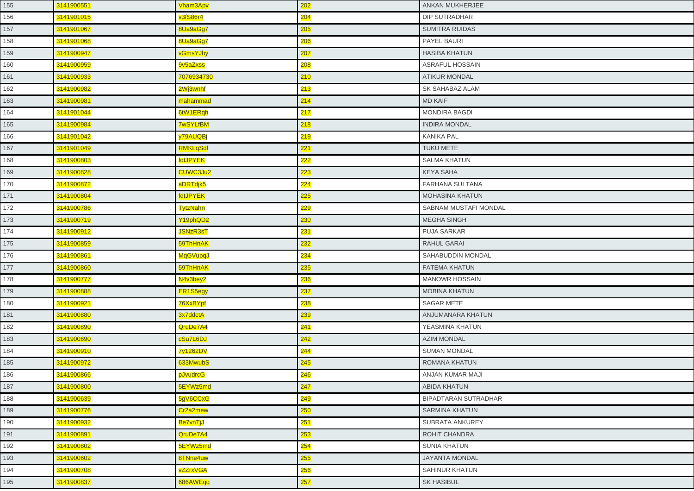| 155 | 3141900551 | Vham3Apv        | 202         | ANKAN MUKHERJEE             |
|-----|------------|-----------------|-------------|-----------------------------|
| 156 | 3141901015 | v3fS86r4        | <b>204</b>  | <b>DIP SUTRADHAR</b>        |
| 157 | 3141901067 | 8Ua9aGg7        | 205         | SUMITRA RUIDAS              |
| 158 | 3141901068 | 8Ua9aGg7        | 206         | PAYEL BAURI                 |
| 159 | 3141900947 | vGmsYJby        | 207         | <b>HASIBA KHATUN</b>        |
| 160 | 3141900959 | 9v5aZxss        | <b>208</b>  | ASRAFUL HOSSAIN             |
| 161 | 3141900933 | 7076934730      | 210         | <b>ATIKUR MONDAL</b>        |
| 162 | 3141900982 | 2Wj3wnhf        | 213         | SK SAHABAZ ALAM             |
| 163 | 3141900981 | mahammad        | 214         | <b>MD KAIF</b>              |
| 164 | 3141901044 | 6tW1ERqh        | 217         | MONDIRA BAGDI               |
| 165 | 3141900984 | <b>7wSYLfBM</b> | 218         | <b>INDIRA MONDAL</b>        |
| 166 | 3141901042 | y79AUQBj        | <b>219</b>  | <b>KANIKA PAL</b>           |
| 167 | 3141901049 | <b>RMKLqSdf</b> | 221         | <b>TUKU METE</b>            |
| 168 | 3141900803 | fdtJPYEK        | 222         | <b>SALMA KHATUN</b>         |
| 169 | 3141900828 | CUWC3Ju2        | 223         | <b>KEYA SAHA</b>            |
| 170 | 3141900872 | aDRTdjk5        | 224         | FARHANA SULTANA             |
| 171 | 3141900804 | fdtJPYEK        | 225         | <b>MOHASINA KHATUN</b>      |
| 172 | 3141900786 | <b>TytzNahn</b> | 229         | SABNAM MUSTAFI MONDAL       |
| 173 | 3141900719 | Y19phQD2        | 230         | <b>MEGHA SINGH</b>          |
| 174 | 3141900912 | <b>JSNzR3sT</b> | 231         | PUJA SARKAR                 |
| 175 | 3141900859 | 59ThHnAK        | 232         | RAHUL GARAI                 |
| 176 | 3141900861 | <b>MqGVupqJ</b> | 234         | SAHABUDDIN MONDAL           |
| 177 | 3141900860 | 59ThHnAK        | 235         | FATEMA KHATUN               |
| 178 | 3141900777 | N4v3bey2        | 236         | <b>MANOWR HOSSAIN</b>       |
| 179 | 3141900888 | ER1S5egy        | 237         | <b>MOBINA KHATUN</b>        |
| 180 | 3141900921 | 76XxBYpf        | 238         | <b>SAGAR METE</b>           |
| 181 | 3141900880 | 3x7ddctA        | 239         | ANJUMANARA KHATUN           |
| 182 | 3141900890 | QruDe7A4        | 241         | YEASMINA KHATUN             |
| 183 | 3141900690 | cSu7L6DJ        | 242         | <b>AZIM MONDAL</b>          |
| 184 | 3141900910 | 7y1262DV        | 244         | <b>SUMAN MONDAL</b>         |
| 185 | 3141900972 | 633MwubS        | 245         | ROMANA KHATUN               |
| 186 | 3141900866 | pJvudrcG        | <u> 246</u> | ANJAN KUMAR MAJI            |
| 187 | 3141900800 | 5EYWz5md        | 247         | <b>ABIDA KHATUN</b>         |
| 188 | 3141900639 | 5gV6CCxG        | 249         | <b>BIPADTARAN SUTRADHAR</b> |
| 189 | 3141900776 | Cr2a2mew        | 250         | <b>SARMINA KHATUN</b>       |
| 190 | 3141900932 | Be7vnTjJ        | 251         | SUBRATA ANKUREY             |
| 191 | 3141900891 | QruDe7A4        | 253         | ROHIT CHANDRA               |
| 192 | 3141900802 | 5EYWz5md        | <b>254</b>  | SUNIA KHATUN                |
| 193 | 3141900602 | 8TNne4uw        | 255         | JAYANTA MONDAL              |
| 194 | 3141900708 | vZZrxVGA        | <b>256</b>  | SAHINUR KHATUN              |
| 195 | 3141900837 | 686AWEqq        | 257         | <b>SK HASIBUL</b>           |
|     |            |                 |             |                             |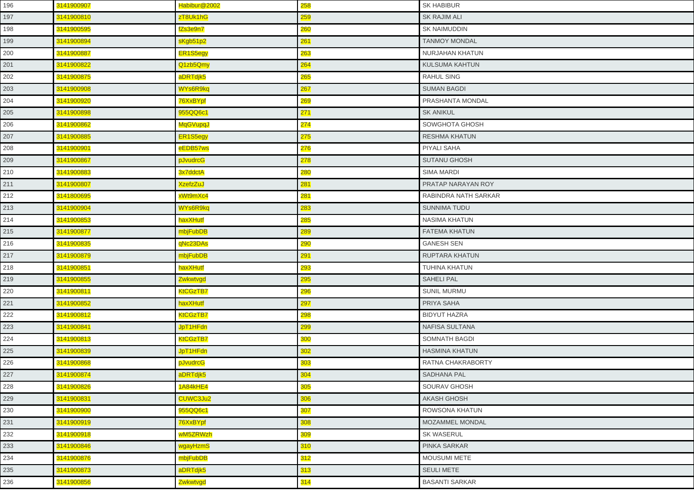| 196 | 3141900907 | Habibur@2002    | <mark>258</mark> | <b>SK HABIBUR</b>     |
|-----|------------|-----------------|------------------|-----------------------|
| 197 | 3141900810 | zT8Uk1hG        | 259              | <b>SK RAJIM ALI</b>   |
| 198 | 3141900595 | fZs3e9n7        | <b>260</b>       | SK NAIMUDDIN          |
| 199 | 3141900894 | sKgb51p2        | 261              | <b>TANMOY MONDAL</b>  |
| 200 | 3141900887 | ER1S5egy        | 263              | NURJAHAN KHATUN       |
| 201 | 3141900822 | Q1zb5Qmy        | 264              | <b>KULSUMA KAHTUN</b> |
| 202 | 3141900875 | aDRTdjk5        | 265              | <b>RAHUL SING</b>     |
| 203 | 3141900908 | WYs6R9kq        | 267              | <b>SUMAN BAGDI</b>    |
| 204 | 3141900920 | 76XxBYpf        | 269              | PRASHANTA MONDAL      |
| 205 | 3141900898 | 955QQ6c1        | 271              | <b>SK ANIKUL</b>      |
| 206 | 3141900862 | <b>MqGVupqJ</b> | <b>274</b>       | SOWGHOTA GHOSH        |
| 207 | 3141900885 | ER1S5egy        | 275              | <b>RESHMA KHATUN</b>  |
| 208 | 3141900901 | eEDB57ws        | 276              | PIYALI SAHA           |
| 209 | 3141900867 | pJvudrcG        | 278              | <b>SUTANU GHOSH</b>   |
| 210 | 3141900883 | 3x7ddctA        | <u> 280</u>      | SIMA MARDI            |
| 211 | 3141900807 | <b>XzefzZuJ</b> | 281              | PRATAP NARAYAN ROY    |
| 212 | 3141800695 | xWt9mXc4        | <b>281</b>       | RABINDRA NATH SARKAR  |
| 213 | 3141900904 | WYs6R9kq        | 283              | <b>SUNNIMA TUDU</b>   |
| 214 | 3141900853 | haxXHutf        | 285              | <b>NASIMA KHATUN</b>  |
| 215 | 3141900877 | mbjFubDB        | 289              | <b>FATEMA KHATUN</b>  |
| 216 | 3141900835 | qNc23DAs        | 290              | <b>GANESH SEN</b>     |
| 217 | 3141900879 | mbjFubDB        | 291              | RUPTARA KHATUN        |
| 218 | 3141900851 | haxXHutf        | 293              | TUHINA KHATUN         |
| 219 | 3141900855 | Zwkwtvgd        | 295              | <b>SAHELI PAL</b>     |
| 220 | 3141900811 | <b>KtCGzTB7</b> | 296              | <b>SUNIL MURMU</b>    |
| 221 | 3141900852 | haxXHutf        | 297              | <b>PRIYA SAHA</b>     |
| 222 | 3141900812 | <b>KtCGzTB7</b> | 298              | <b>BIDYUT HAZRA</b>   |
| 223 | 3141900841 | JpT1HFdn        | 299              | <b>NAFISA SULTANA</b> |
| 224 | 3141900813 | <b>KtCGzTB7</b> | 300              | SOMNATH BAGDI         |
| 225 | 3141900839 | JpT1HFdn        | 302              | <b>HASMINA KHATUN</b> |
| 226 | 3141900868 | pJvudrcG        | 303              | RATNA CHAKRABORTY     |
| 227 | 3141900874 | aDRTdjk5        | <b>304</b>       | SADHANA PAL           |
| 228 | 3141900826 | 1A84kHE4        | 305              | SOURAV GHOSH          |
| 229 | 3141900831 | CUWC3Ju2        | 306              | AKASH GHOSH           |
| 230 | 3141900900 | 955QQ6c1        | 307              | ROWSONA KHATUN        |
| 231 | 3141900919 | 76XxBYpf        | 308              | MOZAMMEL MONDAL       |
| 232 | 3141900918 | wM5ZRWzh        | 309              | <b>SK WASERUL</b>     |
| 233 | 3141900846 | wgayHzmS        | 310              | PINKA SARKAR          |
| 234 | 3141900876 | mbjFubDB        | <u>312</u>       | MOUSUMI METE          |
| 235 | 3141900873 | aDRTdjk5        | 313              | SEULI METE            |
| 236 | 3141900856 | Zwkwtvgd        | <b>314</b>       | <b>BASANTI SARKAR</b> |
|     |            |                 |                  |                       |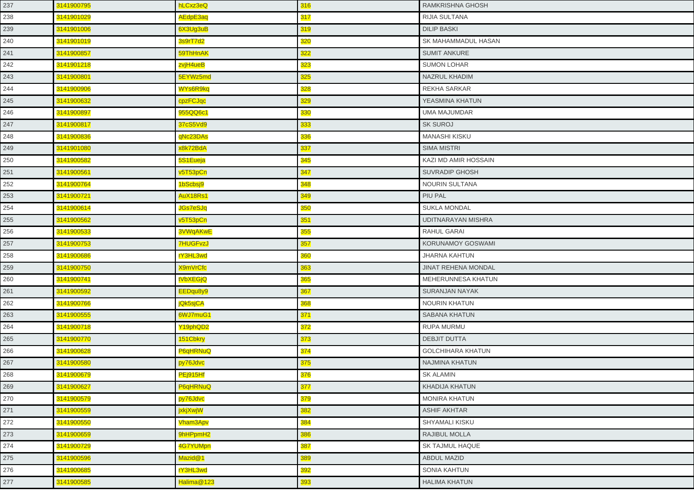| 237 | 3141900795 | hLCxz3eQ        | 316              | RAMKRISHNA GHOSH          |
|-----|------------|-----------------|------------------|---------------------------|
| 238 | 3141901029 | AEdpE3aq        | 317              | RIJIA SULTANA             |
| 239 | 3141901006 | 6X3Ug3uB        | 319              | <b>DILIP BASKI</b>        |
| 240 | 3141901019 | 3s9rT7d2        | 320              | SK MAHAMMADUL HASAN       |
| 241 | 3141900857 | 59ThHnAK        | 322              | <b>SUMIT ANKURE</b>       |
| 242 | 3141901218 | zvjH4ueB        | 323              | <b>SUMON LOHAR</b>        |
| 243 | 3141900801 | 5EYWz5md        | 325              | NAZRUL KHADIM             |
| 244 | 3141900906 | WYs6R9kq        | <b>328</b>       | REKHA SARKAR              |
| 245 | 3141900632 | cpzFCJqc        | 329              | YEASMINA KHATUN           |
| 246 | 3141900897 | 955QQ6c1        | 330              | UMA MAJUMDAR              |
| 247 | 3141900817 | 37cS5Vd9        | 333              | <b>SK SUROJ</b>           |
| 248 | 3141900836 | qNc23DAs        | 336              | <b>MANASHI KISKU</b>      |
| 249 | 3141901080 | x8k72BdA        | 337              | <b>SIMA MISTRI</b>        |
| 250 | 3141900582 | 5S1Eueja        | 345              | KAZI MD AMIR HOSSAIN      |
| 251 | 3141900561 | v5T53pCn        | 347              | <b>SUVRADIP GHOSH</b>     |
| 252 | 3141900764 | 1bScbsj9        | 348              | NOURIN SULTANA            |
| 253 | 3141900721 | AuX18Rs1        | 349              | PIU PAL                   |
| 254 | 3141900614 | <b>JGs7eSJq</b> | 350              | <b>SUKLA MONDAL</b>       |
| 255 | 3141900562 | v5T53pCn        | 351              | <b>UDITNARAYAN MISHRA</b> |
| 256 | 3141900533 | 3VWqAKwE        | 355              | RAHUL GARAI               |
| 257 | 3141900753 | <b>7HUGFvzJ</b> | 357              | <b>KORUNAMOY GOSWAMI</b>  |
| 258 | 3141900686 | rY3HL3wd        | 360              | <b>JHARNA KAHTUN</b>      |
| 259 | 3141900750 | X9mVrCfc        | 363              | JINAT REHENA MONDAL       |
| 260 | 3141900741 | tVbXEGjQ        | 365              | MEHERUNNESA KHATUN        |
| 261 | 3141900592 | EEDqu8y9        | 367              | <b>SURANJAN NAYAK</b>     |
| 262 | 3141900766 | jQk5sjCA        | 368              | <b>NOURIN KHATUN</b>      |
| 263 | 3141900555 | 6WJ7muG1        | 371              | <b>SABANA KHATUN</b>      |
| 264 | 3141900718 | Y19phQD2        | 372              | <b>RUPA MURMU</b>         |
| 265 | 3141900770 | 151 Cbkry       | 373              | <b>DEBJIT DUTTA</b>       |
| 266 | 3141900628 | P6qHRNuQ        | 374              | <b>GOLCHIHARA KHATUN</b>  |
| 267 | 3141900580 | py76Jdvc        | 375              | NAJMINA KHATUN            |
| 268 | 3141900679 | <b>PEj915Hf</b> | 376              | <b>SK ALAMIN</b>          |
| 269 | 3141900627 | P6qHRNuQ        | 377              | <b>KHADIJA KHATUN</b>     |
| 270 | 3141900579 | py76Jdvc        | 379              | <b>MONIRA KHATUN</b>      |
| 271 | 3141900559 | jxkjXwjW        | 382              | <b>ASHIF AKHTAR</b>       |
| 272 | 3141900550 | Vham3Apv        | <b>384</b>       | <b>SHYAMALI KISKU</b>     |
| 273 | 3141900659 | 9hHPpmH2        | 386              | RAJIBUL MOLLA             |
| 274 | 3141900729 | 4G7YUMpn        | 387              | SK TAJMUL HAQUE           |
| 275 | 3141900596 | Mazid@1         | 389              | <b>ABDUL MAZID</b>        |
| 276 | 3141900685 | rY3HL3wd        | <mark>392</mark> | SONIA KAHTUN              |
| 277 | 3141900585 | Halima@123      | 393              | <b>HALIMA KHATUN</b>      |
|     |            |                 |                  |                           |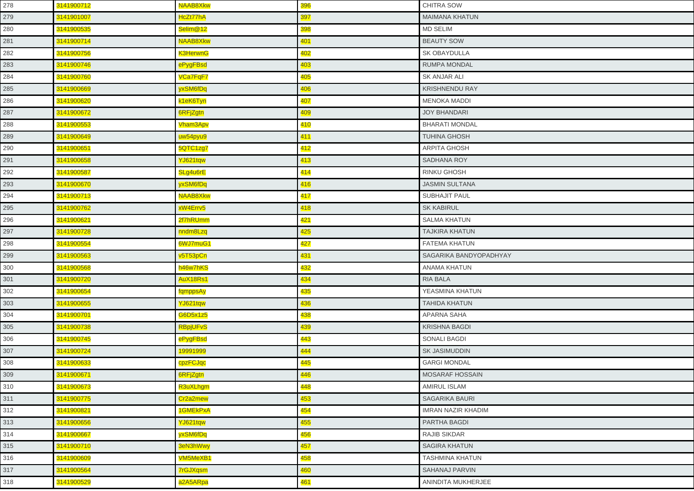| 278 | 3141900712 | <b>NAAB8Xkw</b>       | <b>396</b> | <b>CHITRA SOW</b>      |
|-----|------------|-----------------------|------------|------------------------|
| 279 | 3141901007 | HcZt77hA              | 397        | <b>MAIMANA KHATUN</b>  |
| 280 | 3141900535 | Selim@12              | 398        | <b>MD SELIM</b>        |
| 281 | 3141900714 | NAAB8Xkw              | 401        | <b>BEAUTY SOW</b>      |
| 282 | 3141900756 | <b>K3HerwnG</b>       | <u>402</u> | SK OBAYDULLA           |
| 283 | 3141900746 | ePygFBsd              | 403        | <b>RUMPA MONDAL</b>    |
| 284 | 3141900760 | VCa7FqF7              | <u>405</u> | <b>SK ANJAR ALI</b>    |
| 285 | 3141900669 | yxSM6fDq              | 406        | <b>KRISHNENDU RAY</b>  |
| 286 | 3141900620 | k1eK6Tyn              | 407        | <b>MENOKA MADDI</b>    |
| 287 | 3141900672 | 6RFjZgtn              | 409        | <b>JOY BHANDARI</b>    |
| 288 | 3141900553 | Vham3Apv              | 410        | <b>BHARATI MONDAL</b>  |
| 289 | 3141900649 | uw54pyu9              | 411        | <b>TUHINA GHOSH</b>    |
| 290 | 3141900651 | 5QTC1zg7              | <u>412</u> | ARPITA GHOSH           |
| 291 | 3141900658 | YJ621tqw              | 413        | <b>SADHANA ROY</b>     |
| 292 | 3141900587 | SLg4u6rE              | <u>414</u> | <b>RINKU GHOSH</b>     |
| 293 | 3141900670 | yxSM6fDq              | 416        | <b>JASMIN SULTANA</b>  |
| 294 | 3141900713 | NAAB8Xkw              | 417        | <b>SUBHAJIT PAUL</b>   |
| 295 | 3141900762 | xW4Errv5              | 418        | <b>SK KABIRUL</b>      |
| 296 | 3141900621 | 2f7hRUmm              | 421        | <b>SALMA KHATUN</b>    |
| 297 | 3141900728 | nndm8Lzq              | 425        | <b>TAJKIRA KHATUN</b>  |
| 298 | 3141900554 | 6WJ7muG1              | 427        | <b>FATEMA KHATUN</b>   |
| 299 | 3141900563 | v5T53pCn              | 431        | SAGARIKA BANDYOPADHYAY |
| 300 | 3141900568 | h46w7hKS              | 432        | ANAMA KHATUN           |
| 301 | 3141900720 | AuX18Rs1              | 434        | <b>RIA BALA</b>        |
| 302 | 3141900654 | fqmppsAy              | 435        | YEASMINA KHATUN        |
| 303 | 3141900655 | YJ621tqw              | 436        | <b>TAHIDA KHATUN</b>   |
| 304 | 3141900701 | G6D5x1z5              | 438        | APARNA SAHA            |
| 305 | 3141900738 | <b>RBpjUFvS</b>       | 439        | <b>KRISHNA BAGDI</b>   |
| 306 | 3141900745 | ePygFBsd              | 443        | SONALI BAGDI           |
| 307 | 3141900724 | 19991999              | 444        | <b>SK JASIMUDDIN</b>   |
| 308 | 3141900633 | cpzFCJqc              | 445        | <b>GARGI MONDAL</b>    |
| 309 | 3141900671 | 6RFjZgtn              | 446        | MOSARAF HOSSAIN        |
| 310 | 3141900673 | R3uXLhgm              | 448        | AMIRUL ISLAM           |
| 311 | 3141900775 | Cr <sub>2a2</sub> mew | 453        | <b>SAGARIKA BAURI</b>  |
| 312 | 3141900821 | 1GMEkPxA              | 454        | IMRAN NAZIR KHADIM     |
| 313 | 3141900656 | YJ621tqw              | 455        | PARTHA BAGDI           |
| 314 | 3141900667 | yxSM6fDq              | 456        | <b>RAJIB SIKDAR</b>    |
| 315 | 3141900710 | 3eN3hWwy              | 457        | <b>SAGIRA KHATUN</b>   |
| 316 | 3141900609 | <b>VM5MeXB1</b>       | 458        | TASHMINA KHATUN        |
| 317 | 3141900564 | <b>7rGJXqsm</b>       | 460        | SAHANAJ PARVIN         |
| 318 | 3141900529 | a2A5ARpa              | 461        | ANINDITA MUKHERJEE     |
|     |            |                       |            |                        |